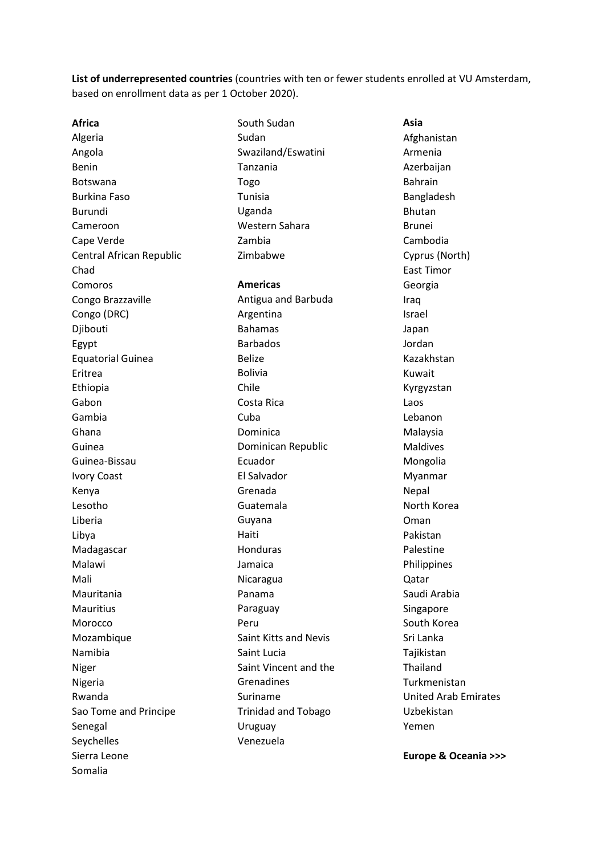**List of underrepresented countries** (countries with ten or fewer students enrolled at VU Amsterdam, based on enrollment data as per 1 October 2020).

**Africa** Algeria Angola Benin Botswana Burkina Faso Burundi Cameroon Cape Verde Central African Republic Chad Comoros Congo Brazzaville Congo (DRC) Djibouti Egypt Equatorial Guinea Eritrea Ethiopia Gabon Gambia Ghana Guinea Guinea-Bissau Ivory Coast Kenya Lesotho Liberia Libya Madagascar Malawi Mali Mauritania Mauritius Morocco Mozambique Namibia Niger Nigeria Rwanda Sao Tome and Principe Senegal Seychelles Sierra Leone Somalia

South Sudan Sudan Swaziland/Eswatini Tanzania Togo Tunisia Uganda Western Sahara Zambia Zimbabwe **Americas** Antigua and Barbuda Argentina Bahamas Barbados Belize Bolivia Chile Costa Rica Cuba Dominica Dominican Republic Ecuador El Salvador Grenada Guatemala Guyana Haiti Honduras Jamaica Nicaragua Panama Paraguay Peru Saint Kitts and Nevis Saint Lucia Saint Vincent and the Grenadines Suriname Trinidad and Tobago Uruguay Venezuela

**Asia** Afghanistan Armenia Azerbaijan Bahrain Bangladesh Bhutan Brunei Cambodia Cyprus (North) East Timor Georgia Iraq Israel Japan Jordan Kazakhstan Kuwait Kyrgyzstan Laos Lebanon Malaysia Maldives Mongolia Myanmar Nepal North Korea Oman Pakistan Palestine Philippines Qatar Saudi Arabia Singapore South Korea Sri Lanka Tajikistan Thailand Turkmenistan United Arab Emirates Uzbekistan Yemen

**Europe & Oceania >>>**